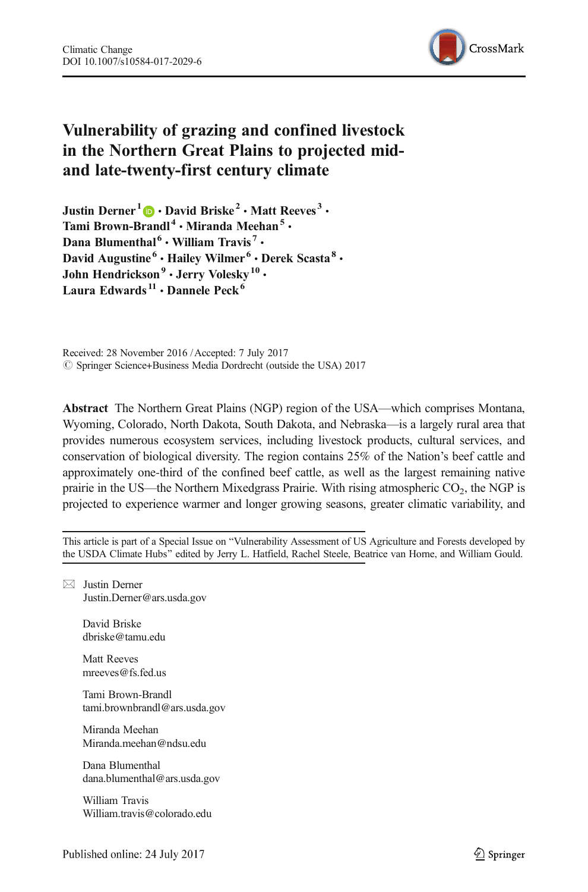

# Vulnerability of grazing and confined livestock in the Northern Great Plains to projected midand late-twenty-first century climate

Justin Derner<sup>1</sup>  $\bullet$  **David Briske<sup>2</sup>** • Matt Reeves<sup>3</sup> • Tami Brown-Brandl<sup>4</sup> . Miranda Meehan<sup>5</sup> . Dana Blumenthal<sup>6</sup>  $\cdot$  William Travis<sup>7</sup>  $\cdot$ David Augustine<sup>6</sup> · Hailey Wilmer<sup>6</sup> · Derek Scasta<sup>8</sup> · John Hendrickson<sup>9</sup> · Jerry Volesky<sup>10</sup> · Laura Edwards<sup>11</sup> • Dannele Peck<sup>6</sup>

Received: 28 November 2016 /Accepted: 7 July 2017 © Springer Science+Business Media Dordrecht (outside the USA) 2017

Abstract The Northern Great Plains (NGP) region of the USA—which comprises Montana, Wyoming, Colorado, North Dakota, South Dakota, and Nebraska—is a largely rural area that provides numerous ecosystem services, including livestock products, cultural services, and conservation of biological diversity. The region contains 25% of the Nation's beef cattle and approximately one-third of the confined beef cattle, as well as the largest remaining native prairie in the US—the Northern Mixedgrass Prairie. With rising atmospheric  $CO<sub>2</sub>$ , the NGP is projected to experience warmer and longer growing seasons, greater climatic variability, and

This article is part of a Special Issue on "Vulnerability Assessment of US Agriculture and Forests developed by the USDA Climate Hubs" edited by Jerry L. Hatfield, Rachel Steele, Beatrice van Horne, and William Gould.

 $\boxtimes$  Justin Derner [Justin.Derner@ars.usda.gov](mailto:Justin.Derner@ars.usda.gov)

> David Briske dbriske@tamu.edu

> Matt Reeves mreeves@fs.fed.us

Tami Brown-Brandl tami.brownbrandl@ars.usda.gov

Miranda Meehan Miranda.meehan@ndsu.edu

Dana Blumenthal dana.blumenthal@ars.usda.gov

William Travis William.travis@colorado.edu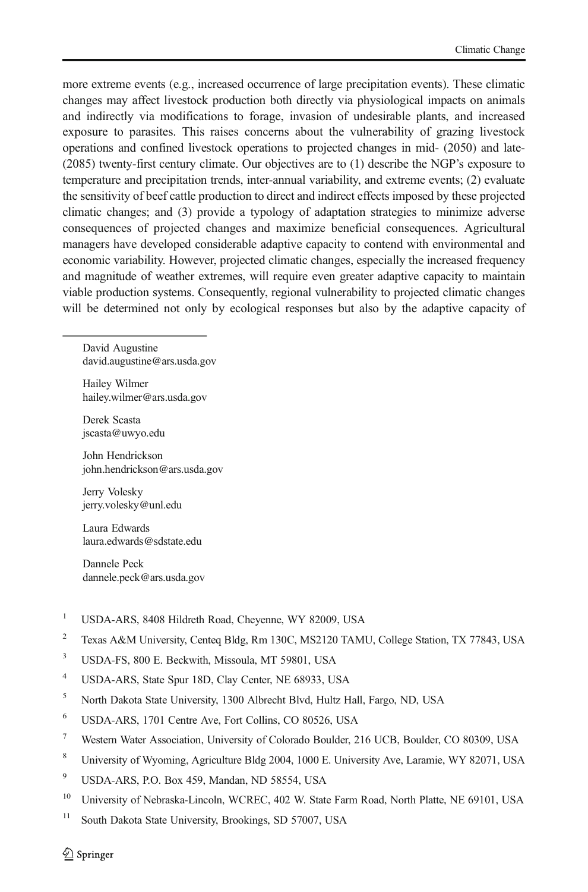more extreme events (e.g., increased occurrence of large precipitation events). These climatic changes may affect livestock production both directly via physiological impacts on animals and indirectly via modifications to forage, invasion of undesirable plants, and increased exposure to parasites. This raises concerns about the vulnerability of grazing livestock operations and confined livestock operations to projected changes in mid- (2050) and late- (2085) twenty-first century climate. Our objectives are to (1) describe the NGP's exposure to temperature and precipitation trends, inter-annual variability, and extreme events; (2) evaluate the sensitivity of beef cattle production to direct and indirect effects imposed by these projected climatic changes; and (3) provide a typology of adaptation strategies to minimize adverse consequences of projected changes and maximize beneficial consequences. Agricultural managers have developed considerable adaptive capacity to contend with environmental and economic variability. However, projected climatic changes, especially the increased frequency and magnitude of weather extremes, will require even greater adaptive capacity to maintain viable production systems. Consequently, regional vulnerability to projected climatic changes will be determined not only by ecological responses but also by the adaptive capacity of

David Augustine david.augustine@ars.usda.gov

Hailey Wilmer hailey.wilmer@ars.usda.gov

Derek Scasta jscasta@uwyo.edu

John Hendrickson john.hendrickson@ars.usda.gov

Jerry Volesky jerry.volesky@unl.edu

Laura Edwards laura.edwards@sdstate.edu

Dannele Peck dannele.peck@ars.usda.gov

- <sup>1</sup> USDA-ARS, 8408 Hildreth Road, Cheyenne, WY 82009, USA
- <sup>2</sup> Texas A&M University, Centeq Bldg, Rm 130C, MS2120 TAMU, College Station, TX 77843, USA
- <sup>3</sup> USDA-FS, 800 E. Beckwith, Missoula, MT 59801, USA
- <sup>4</sup> USDA-ARS, State Spur 18D, Clay Center, NE 68933, USA
- <sup>5</sup> North Dakota State University, 1300 Albrecht Blvd, Hultz Hall, Fargo, ND, USA
- <sup>6</sup> USDA-ARS, 1701 Centre Ave, Fort Collins, CO 80526, USA
- <sup>7</sup> Western Water Association, University of Colorado Boulder, 216 UCB, Boulder, CO 80309, USA
- <sup>8</sup> University of Wyoming, Agriculture Bldg 2004, 1000 E. University Ave, Laramie, WY 82071, USA
- <sup>9</sup> USDA-ARS, P.O. Box 459, Mandan, ND 58554, USA
- <sup>10</sup> University of Nebraska-Lincoln, WCREC, 402 W. State Farm Road, North Platte, NE 69101, USA
- <sup>11</sup> South Dakota State University, Brookings, SD 57007, USA

 $\textcircled{2}$  Springer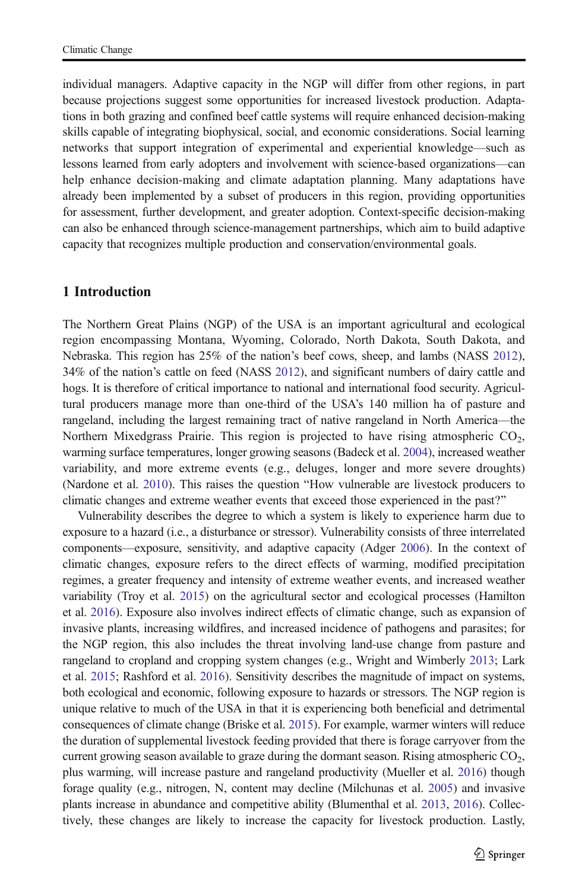individual managers. Adaptive capacity in the NGP will differ from other regions, in part because projections suggest some opportunities for increased livestock production. Adaptations in both grazing and confined beef cattle systems will require enhanced decision-making skills capable of integrating biophysical, social, and economic considerations. Social learning networks that support integration of experimental and experiential knowledge—such as lessons learned from early adopters and involvement with science-based organizations—can help enhance decision-making and climate adaptation planning. Many adaptations have already been implemented by a subset of producers in this region, providing opportunities for assessment, further development, and greater adoption. Context-specific decision-making can also be enhanced through science-management partnerships, which aim to build adaptive capacity that recognizes multiple production and conservation/environmental goals.

# 1 Introduction

The Northern Great Plains (NGP) of the USA is an important agricultural and ecological region encompassing Montana, Wyoming, Colorado, North Dakota, South Dakota, and Nebraska. This region has 25% of the nation's beef cows, sheep, and lambs (NASS [2012](#page-12-0)), 34% of the nation's cattle on feed (NASS [2012](#page-12-0)), and significant numbers of dairy cattle and hogs. It is therefore of critical importance to national and international food security. Agricultural producers manage more than one-third of the USA's 140 million ha of pasture and rangeland, including the largest remaining tract of native rangeland in North America—the Northern Mixedgrass Prairie. This region is projected to have rising atmospheric  $CO<sub>2</sub>$ , warming surface temperatures, longer growing seasons (Badeck et al. [2004\)](#page-10-0), increased weather variability, and more extreme events (e.g., deluges, longer and more severe droughts) (Nardone et al.  $2010$ ). This raises the question "How vulnerable are livestock producers to climatic changes and extreme weather events that exceed those experienced in the past?"

Vulnerability describes the degree to which a system is likely to experience harm due to exposure to a hazard (i.e., a disturbance or stressor). Vulnerability consists of three interrelated components—exposure, sensitivity, and adaptive capacity (Adger [2006](#page-10-0)). In the context of climatic changes, exposure refers to the direct effects of warming, modified precipitation regimes, a greater frequency and intensity of extreme weather events, and increased weather variability (Troy et al. [2015](#page-13-0)) on the agricultural sector and ecological processes (Hamilton et al. [2016](#page-11-0)). Exposure also involves indirect effects of climatic change, such as expansion of invasive plants, increasing wildfires, and increased incidence of pathogens and parasites; for the NGP region, this also includes the threat involving land-use change from pasture and rangeland to cropland and cropping system changes (e.g., Wright and Wimberly [2013;](#page-13-0) Lark et al. [2015](#page-12-0); Rashford et al. [2016](#page-13-0)). Sensitivity describes the magnitude of impact on systems, both ecological and economic, following exposure to hazards or stressors. The NGP region is unique relative to much of the USA in that it is experiencing both beneficial and detrimental consequences of climate change (Briske et al. [2015](#page-11-0)). For example, warmer winters will reduce the duration of supplemental livestock feeding provided that there is forage carryover from the current growing season available to graze during the dormant season. Rising atmospheric  $CO<sub>2</sub>$ , plus warming, will increase pasture and rangeland productivity (Mueller et al. [2016\)](#page-12-0) though forage quality (e.g., nitrogen, N, content may decline (Milchunas et al. [2005\)](#page-12-0) and invasive plants increase in abundance and competitive ability (Blumenthal et al. [2013,](#page-11-0) [2016\)](#page-11-0). Collectively, these changes are likely to increase the capacity for livestock production. Lastly,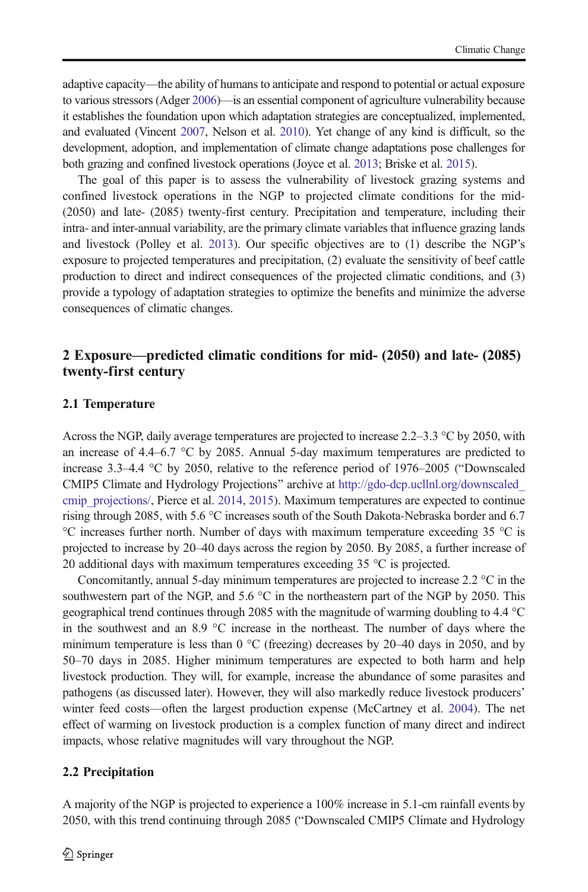adaptive capacity—the ability of humans to anticipate and respond to potential or actual exposure to various stressors (Adger [2006\)](#page-10-0)—is an essential component of agriculture vulnerability because it establishes the foundation upon which adaptation strategies are conceptualized, implemented, and evaluated (Vincent [2007](#page-13-0), Nelson et al. [2010\)](#page-12-0). Yet change of any kind is difficult, so the development, adoption, and implementation of climate change adaptations pose challenges for both grazing and confined livestock operations (Joyce et al. [2013;](#page-12-0) Briske et al. [2015\)](#page-11-0).

The goal of this paper is to assess the vulnerability of livestock grazing systems and confined livestock operations in the NGP to projected climate conditions for the mid- (2050) and late- (2085) twenty-first century. Precipitation and temperature, including their intra- and inter-annual variability, are the primary climate variables that influence grazing lands and livestock (Polley et al. [2013\)](#page-12-0). Our specific objectives are to (1) describe the NGP's exposure to projected temperatures and precipitation, (2) evaluate the sensitivity of beef cattle production to direct and indirect consequences of the projected climatic conditions, and (3) provide a typology of adaptation strategies to optimize the benefits and minimize the adverse consequences of climatic changes.

# 2 Exposure—predicted climatic conditions for mid- (2050) and late- (2085) twenty-first century

# 2.1 Temperature

Across the NGP, daily average temperatures are projected to increase 2.2–3.3 °C by 2050, with an increase of 4.4–6.7 °C by 2085. Annual 5-day maximum temperatures are predicted to increase  $3.3-4.4$  °C by 2050, relative to the reference period of 1976–2005 ("Downscaled CMIP5 Climate and Hydrology Projections" archive at http://gdo-dcp.ucllnl.org/downscaled cmip projections/, Pierce et al. [2014](#page-12-0), [2015\)](#page-12-0). Maximum temperatures are expected to continue rising through 2085, with 5.6 °C increases south of the South Dakota-Nebraska border and 6.7 °C increases further north. Number of days with maximum temperature exceeding 35 °C is projected to increase by 20–40 days across the region by 2050. By 2085, a further increase of 20 additional days with maximum temperatures exceeding 35 °C is projected.

Concomitantly, annual 5-day minimum temperatures are projected to increase 2.2  $\degree$ C in the southwestern part of the NGP, and 5.6 °C in the northeastern part of the NGP by 2050. This geographical trend continues through 2085 with the magnitude of warming doubling to 4.4 °C in the southwest and an 8.9 °C increase in the northeast. The number of days where the minimum temperature is less than  $0^{\circ}$ C (freezing) decreases by 20–40 days in 2050, and by 50–70 days in 2085. Higher minimum temperatures are expected to both harm and help livestock production. They will, for example, increase the abundance of some parasites and pathogens (as discussed later). However, they will also markedly reduce livestock producers' winter feed costs—often the largest production expense (McCartney et al. [2004\)](#page-12-0). The net effect of warming on livestock production is a complex function of many direct and indirect impacts, whose relative magnitudes will vary throughout the NGP.

# 2.2 Precipitation

A majority of the NGP is projected to experience a 100% increase in 5.1-cm rainfall events by 2050, with this trend continuing through 2085 ("Downscaled CMIP5 Climate and Hydrology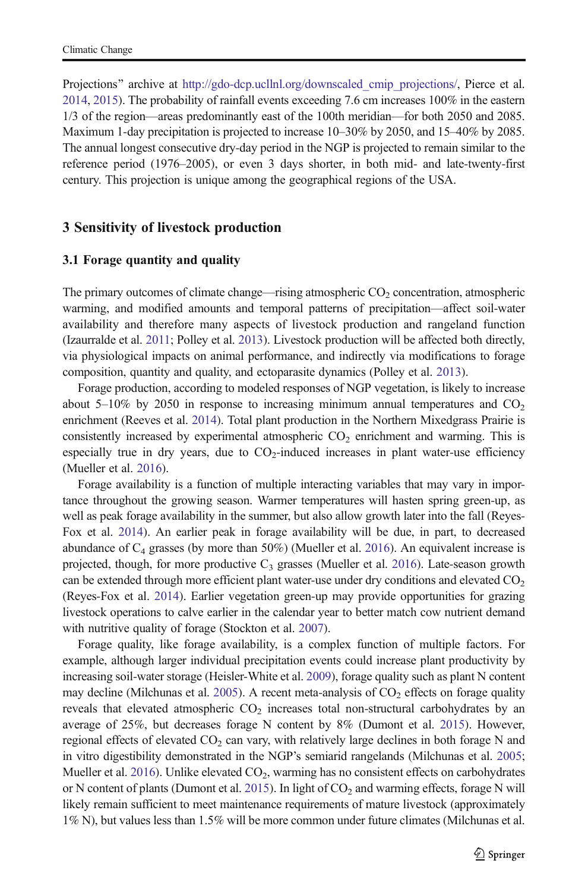Projections" archive at [http://gdo-dcp.ucllnl.org/downscaled\\_cmip\\_projections/,](http://gdo-dcp.ucllnl.org/downscaled_cmip_projections/) Pierce et al. [2014](#page-12-0), [2015](#page-12-0)). The probability of rainfall events exceeding 7.6 cm increases 100% in the eastern 1/3 of the region—areas predominantly east of the 100th meridian—for both 2050 and 2085. Maximum 1-day precipitation is projected to increase 10–30% by 2050, and 15–40% by 2085. The annual longest consecutive dry-day period in the NGP is projected to remain similar to the reference period (1976–2005), or even 3 days shorter, in both mid- and late-twenty-first century. This projection is unique among the geographical regions of the USA.

# 3 Sensitivity of livestock production

#### 3.1 Forage quantity and quality

The primary outcomes of climate change—rising atmospheric  $CO<sub>2</sub>$  concentration, atmospheric warming, and modified amounts and temporal patterns of precipitation—affect soil-water availability and therefore many aspects of livestock production and rangeland function (Izaurralde et al. [2011](#page-12-0); Polley et al. [2013\)](#page-12-0). Livestock production will be affected both directly, via physiological impacts on animal performance, and indirectly via modifications to forage composition, quantity and quality, and ectoparasite dynamics (Polley et al. [2013\)](#page-12-0).

Forage production, according to modeled responses of NGP vegetation, is likely to increase about 5–10% by 2050 in response to increasing minimum annual temperatures and  $CO<sub>2</sub>$ enrichment (Reeves et al. [2014](#page-13-0)). Total plant production in the Northern Mixedgrass Prairie is consistently increased by experimental atmospheric  $CO<sub>2</sub>$  enrichment and warming. This is especially true in dry years, due to  $CO<sub>2</sub>$ -induced increases in plant water-use efficiency (Mueller et al. [2016\)](#page-12-0).

Forage availability is a function of multiple interacting variables that may vary in importance throughout the growing season. Warmer temperatures will hasten spring green-up, as well as peak forage availability in the summer, but also allow growth later into the fall (Reyes-Fox et al. [2014](#page-13-0)). An earlier peak in forage availability will be due, in part, to decreased abundance of  $C_4$  grasses (by more than 50%) (Mueller et al. [2016](#page-12-0)). An equivalent increase is projected, though, for more productive  $C_3$  grasses (Mueller et al. [2016\)](#page-12-0). Late-season growth can be extended through more efficient plant water-use under dry conditions and elevated  $CO<sub>2</sub>$ (Reyes-Fox et al. [2014\)](#page-13-0). Earlier vegetation green-up may provide opportunities for grazing livestock operations to calve earlier in the calendar year to better match cow nutrient demand with nutritive quality of forage (Stockton et al. [2007\)](#page-13-0).

Forage quality, like forage availability, is a complex function of multiple factors. For example, although larger individual precipitation events could increase plant productivity by increasing soil-water storage (Heisler-White et al. [2009\)](#page-11-0), forage quality such as plant N content may decline (Milchunas et al. [2005](#page-12-0)). A recent meta-analysis of  $CO<sub>2</sub>$  effects on forage quality reveals that elevated atmospheric  $CO<sub>2</sub>$  increases total non-structural carbohydrates by an average of 25%, but decreases forage N content by 8% (Dumont et al. [2015](#page-11-0)). However, regional effects of elevated  $CO<sub>2</sub>$  can vary, with relatively large declines in both forage N and in vitro digestibility demonstrated in the NGP's semiarid rangelands (Milchunas et al. [2005](#page-12-0); Mueller et al. [2016](#page-12-0)). Unlike elevated  $CO<sub>2</sub>$ , warming has no consistent effects on carbohydrates or N content of plants (Dumont et al. [2015](#page-11-0)). In light of CO<sub>2</sub> and warming effects, forage N will likely remain sufficient to meet maintenance requirements of mature livestock (approximately 1% N), but values less than 1.5% will be more common under future climates (Milchunas et al.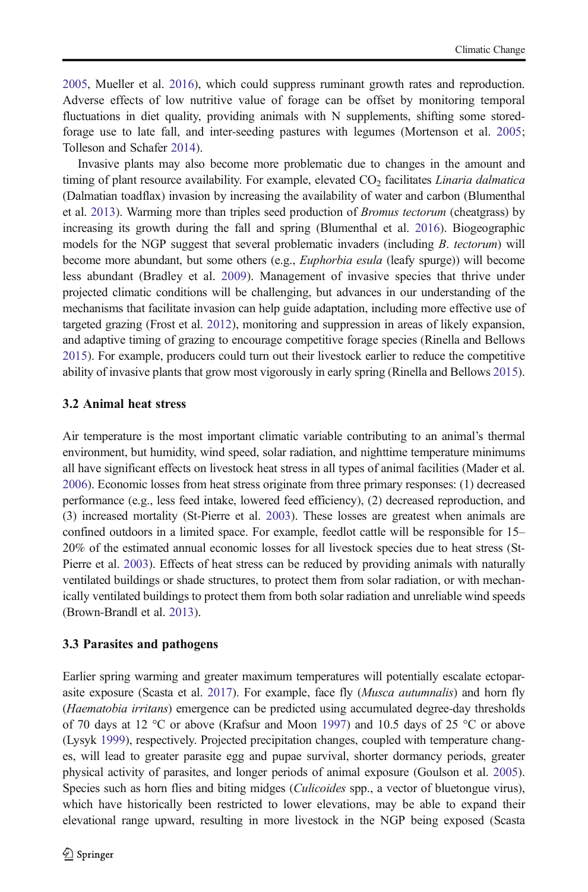[2005](#page-12-0), Mueller et al. [2016](#page-12-0)), which could suppress ruminant growth rates and reproduction. Adverse effects of low nutritive value of forage can be offset by monitoring temporal fluctuations in diet quality, providing animals with N supplements, shifting some storedforage use to late fall, and inter-seeding pastures with legumes (Mortenson et al. [2005](#page-12-0); Tolleson and Schafer [2014](#page-13-0)).

Invasive plants may also become more problematic due to changes in the amount and timing of plant resource availability. For example, elevated CO<sub>2</sub> facilitates *Linaria dalmatica* (Dalmatian toadflax) invasion by increasing the availability of water and carbon (Blumenthal et al. [2013](#page-11-0)). Warming more than triples seed production of Bromus tectorum (cheatgrass) by increasing its growth during the fall and spring (Blumenthal et al. [2016\)](#page-11-0). Biogeographic models for the NGP suggest that several problematic invaders (including B. tectorum) will become more abundant, but some others (e.g., *Euphorbia esula* (leafy spurge)) will become less abundant (Bradley et al. [2009](#page-11-0)). Management of invasive species that thrive under projected climatic conditions will be challenging, but advances in our understanding of the mechanisms that facilitate invasion can help guide adaptation, including more effective use of targeted grazing (Frost et al. [2012](#page-11-0)), monitoring and suppression in areas of likely expansion, and adaptive timing of grazing to encourage competitive forage species (Rinella and Bellows [2015](#page-13-0)). For example, producers could turn out their livestock earlier to reduce the competitive ability of invasive plants that grow most vigorously in early spring (Rinella and Bellows [2015](#page-13-0)).

#### 3.2 Animal heat stress

Air temperature is the most important climatic variable contributing to an animal's thermal environment, but humidity, wind speed, solar radiation, and nighttime temperature minimums all have significant effects on livestock heat stress in all types of animal facilities (Mader et al. [2006](#page-12-0)). Economic losses from heat stress originate from three primary responses: (1) decreased performance (e.g., less feed intake, lowered feed efficiency), (2) decreased reproduction, and (3) increased mortality (St-Pierre et al. [2003](#page-13-0)). These losses are greatest when animals are confined outdoors in a limited space. For example, feedlot cattle will be responsible for 15– 20% of the estimated annual economic losses for all livestock species due to heat stress (St-Pierre et al. [2003](#page-13-0)). Effects of heat stress can be reduced by providing animals with naturally ventilated buildings or shade structures, to protect them from solar radiation, or with mechanically ventilated buildings to protect them from both solar radiation and unreliable wind speeds (Brown-Brandl et al. [2013](#page-11-0)).

#### 3.3 Parasites and pathogens

Earlier spring warming and greater maximum temperatures will potentially escalate ectopar-asite exposure (Scasta et al. [2017\)](#page-13-0). For example, face fly (*Musca autumnalis*) and horn fly (Haematobia irritans) emergence can be predicted using accumulated degree-day thresholds of 70 days at 12 °C or above (Krafsur and Moon [1997\)](#page-12-0) and 10.5 days of 25 °C or above (Lysyk [1999\)](#page-12-0), respectively. Projected precipitation changes, coupled with temperature changes, will lead to greater parasite egg and pupae survival, shorter dormancy periods, greater physical activity of parasites, and longer periods of animal exposure (Goulson et al. [2005](#page-11-0)). Species such as horn flies and biting midges *(Culicoides spp., a vector of bluetongue virus)*, which have historically been restricted to lower elevations, may be able to expand their elevational range upward, resulting in more livestock in the NGP being exposed (Scasta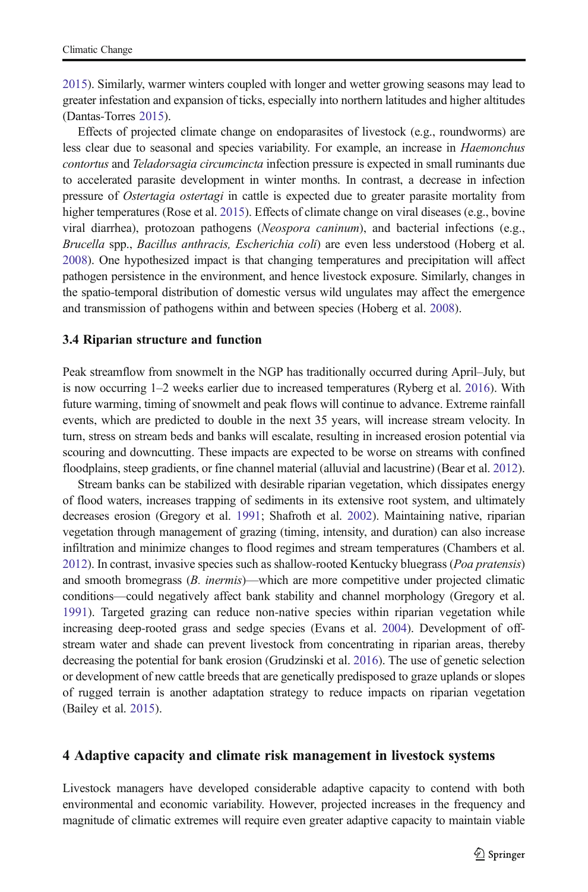[2015](#page-13-0)). Similarly, warmer winters coupled with longer and wetter growing seasons may lead to greater infestation and expansion of ticks, especially into northern latitudes and higher altitudes (Dantas-Torres [2015\)](#page-11-0).

Effects of projected climate change on endoparasites of livestock (e.g., roundworms) are less clear due to seasonal and species variability. For example, an increase in Haemonchus contortus and Teladorsagia circumcincta infection pressure is expected in small ruminants due to accelerated parasite development in winter months. In contrast, a decrease in infection pressure of Ostertagia ostertagi in cattle is expected due to greater parasite mortality from higher temperatures (Rose et al. [2015](#page-13-0)). Effects of climate change on viral diseases (e.g., bovine viral diarrhea), protozoan pathogens (Neospora caninum), and bacterial infections (e.g., Brucella spp., Bacillus anthracis, Escherichia coli) are even less understood (Hoberg et al. [2008](#page-11-0)). One hypothesized impact is that changing temperatures and precipitation will affect pathogen persistence in the environment, and hence livestock exposure. Similarly, changes in the spatio-temporal distribution of domestic versus wild ungulates may affect the emergence and transmission of pathogens within and between species (Hoberg et al. [2008\)](#page-11-0).

#### 3.4 Riparian structure and function

Peak streamflow from snowmelt in the NGP has traditionally occurred during April–July, but is now occurring 1–2 weeks earlier due to increased temperatures (Ryberg et al. [2016](#page-13-0)). With future warming, timing of snowmelt and peak flows will continue to advance. Extreme rainfall events, which are predicted to double in the next 35 years, will increase stream velocity. In turn, stress on stream beds and banks will escalate, resulting in increased erosion potential via scouring and downcutting. These impacts are expected to be worse on streams with confined floodplains, steep gradients, or fine channel material (alluvial and lacustrine) (Bear et al. [2012](#page-11-0)).

Stream banks can be stabilized with desirable riparian vegetation, which dissipates energy of flood waters, increases trapping of sediments in its extensive root system, and ultimately decreases erosion (Gregory et al. [1991](#page-11-0); Shafroth et al. [2002](#page-13-0)). Maintaining native, riparian vegetation through management of grazing (timing, intensity, and duration) can also increase infiltration and minimize changes to flood regimes and stream temperatures (Chambers et al. [2012](#page-11-0)). In contrast, invasive species such as shallow-rooted Kentucky bluegrass (Poa pratensis) and smooth bromegrass (*B. inermis*)—which are more competitive under projected climatic conditions—could negatively affect bank stability and channel morphology (Gregory et al. [1991\)](#page-11-0). Targeted grazing can reduce non-native species within riparian vegetation while increasing deep-rooted grass and sedge species (Evans et al. [2004](#page-11-0)). Development of offstream water and shade can prevent livestock from concentrating in riparian areas, thereby decreasing the potential for bank erosion (Grudzinski et al. [2016\)](#page-11-0). The use of genetic selection or development of new cattle breeds that are genetically predisposed to graze uplands or slopes of rugged terrain is another adaptation strategy to reduce impacts on riparian vegetation (Bailey et al. [2015\)](#page-10-0).

#### 4 Adaptive capacity and climate risk management in livestock systems

Livestock managers have developed considerable adaptive capacity to contend with both environmental and economic variability. However, projected increases in the frequency and magnitude of climatic extremes will require even greater adaptive capacity to maintain viable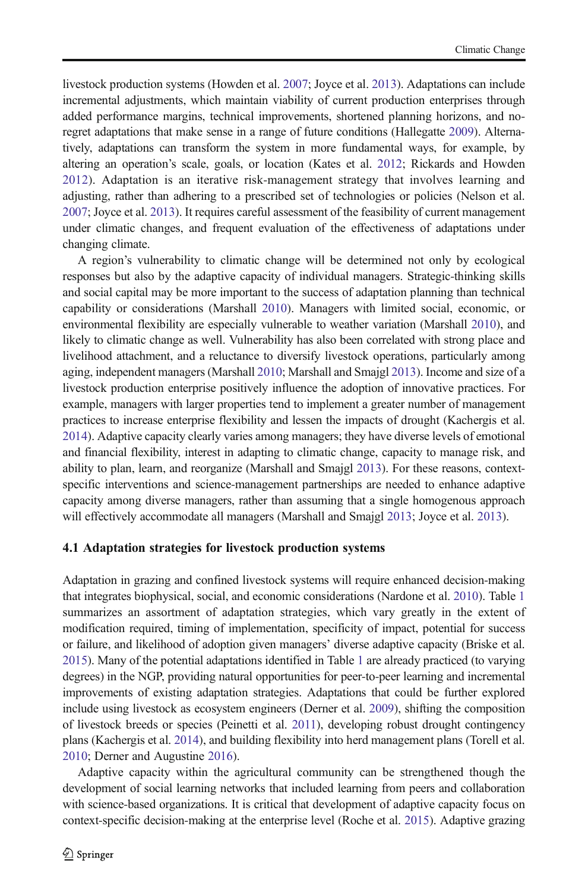livestock production systems (Howden et al. [2007](#page-11-0); Joyce et al. [2013\)](#page-12-0). Adaptations can include incremental adjustments, which maintain viability of current production enterprises through added performance margins, technical improvements, shortened planning horizons, and noregret adaptations that make sense in a range of future conditions (Hallegatte [2009](#page-11-0)). Alternatively, adaptations can transform the system in more fundamental ways, for example, by altering an operation's scale, goals, or location (Kates et al. [2012;](#page-12-0) Rickards and Howden [2012](#page-13-0)). Adaptation is an iterative risk-management strategy that involves learning and adjusting, rather than adhering to a prescribed set of technologies or policies (Nelson et al. [2007](#page-12-0); Joyce et al. [2013\)](#page-12-0). It requires careful assessment of the feasibility of current management under climatic changes, and frequent evaluation of the effectiveness of adaptations under changing climate.

A region's vulnerability to climatic change will be determined not only by ecological responses but also by the adaptive capacity of individual managers. Strategic-thinking skills and social capital may be more important to the success of adaptation planning than technical capability or considerations (Marshall [2010\)](#page-12-0). Managers with limited social, economic, or environmental flexibility are especially vulnerable to weather variation (Marshall [2010\)](#page-12-0), and likely to climatic change as well. Vulnerability has also been correlated with strong place and livelihood attachment, and a reluctance to diversify livestock operations, particularly among aging, independent managers (Marshall [2010;](#page-12-0) Marshall and Smajgl [2013](#page-12-0)). Income and size of a livestock production enterprise positively influence the adoption of innovative practices. For example, managers with larger properties tend to implement a greater number of management practices to increase enterprise flexibility and lessen the impacts of drought (Kachergis et al. [2014](#page-12-0)). Adaptive capacity clearly varies among managers; they have diverse levels of emotional and financial flexibility, interest in adapting to climatic change, capacity to manage risk, and ability to plan, learn, and reorganize (Marshall and Smajgl [2013](#page-12-0)). For these reasons, contextspecific interventions and science-management partnerships are needed to enhance adaptive capacity among diverse managers, rather than assuming that a single homogenous approach will effectively accommodate all managers (Marshall and Smajgl [2013](#page-12-0); Joyce et al. [2013](#page-12-0)).

#### 4.1 Adaptation strategies for livestock production systems

Adaptation in grazing and confined livestock systems will require enhanced decision-making that integrates biophysical, social, and economic considerations (Nardone et al. [2010\)](#page-12-0). Table [1](#page-8-0) summarizes an assortment of adaptation strategies, which vary greatly in the extent of modification required, timing of implementation, specificity of impact, potential for success or failure, and likelihood of adoption given managers' diverse adaptive capacity (Briske et al. [2015](#page-11-0)). Many of the potential adaptations identified in Table [1](#page-8-0) are already practiced (to varying degrees) in the NGP, providing natural opportunities for peer-to-peer learning and incremental improvements of existing adaptation strategies. Adaptations that could be further explored include using livestock as ecosystem engineers (Derner et al. [2009\)](#page-11-0), shifting the composition of livestock breeds or species (Peinetti et al. [2011\)](#page-12-0), developing robust drought contingency plans (Kachergis et al. [2014\)](#page-12-0), and building flexibility into herd management plans (Torell et al. [2010](#page-13-0); Derner and Augustine [2016](#page-11-0)).

Adaptive capacity within the agricultural community can be strengthened though the development of social learning networks that included learning from peers and collaboration with science-based organizations. It is critical that development of adaptive capacity focus on context-specific decision-making at the enterprise level (Roche et al. [2015](#page-13-0)). Adaptive grazing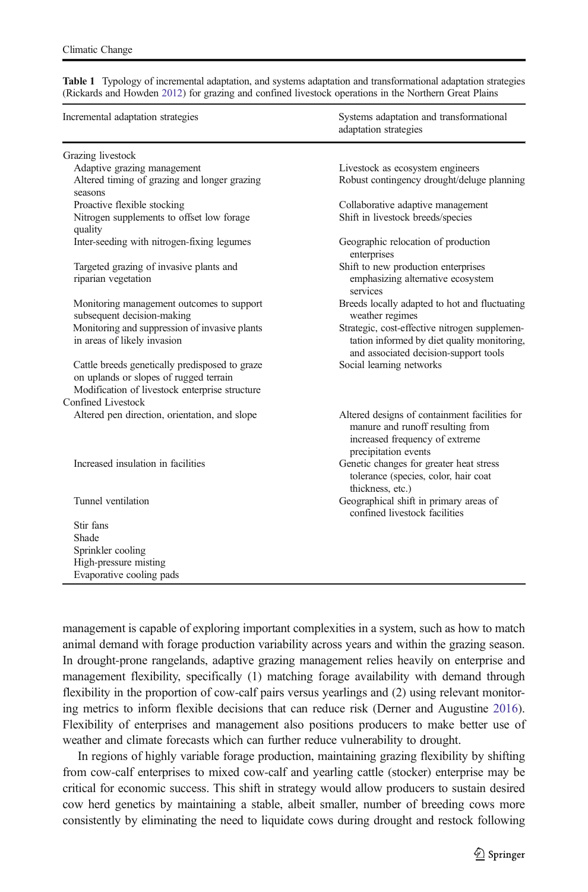| Incremental adaptation strategies                                                        | Systems adaptation and transformational<br>adaptation strategies                                                                            |
|------------------------------------------------------------------------------------------|---------------------------------------------------------------------------------------------------------------------------------------------|
| Grazing livestock                                                                        |                                                                                                                                             |
| Adaptive grazing management                                                              | Livestock as ecosystem engineers                                                                                                            |
| Altered timing of grazing and longer grazing<br>seasons                                  | Robust contingency drought/deluge planning                                                                                                  |
| Proactive flexible stocking                                                              | Collaborative adaptive management                                                                                                           |
| Nitrogen supplements to offset low forage<br>quality                                     | Shift in livestock breeds/species                                                                                                           |
| Inter-seeding with nitrogen-fixing legumes                                               | Geographic relocation of production<br>enterprises                                                                                          |
| Targeted grazing of invasive plants and<br>riparian vegetation                           | Shift to new production enterprises<br>emphasizing alternative ecosystem<br>services                                                        |
| Monitoring management outcomes to support<br>subsequent decision-making                  | Breeds locally adapted to hot and fluctuating<br>weather regimes                                                                            |
| Monitoring and suppression of invasive plants<br>in areas of likely invasion             | Strategic, cost-effective nitrogen supplemen-<br>tation informed by diet quality monitoring,<br>and associated decision-support tools       |
| Cattle breeds genetically predisposed to graze<br>on uplands or slopes of rugged terrain | Social learning networks                                                                                                                    |
| Modification of livestock enterprise structure<br>Confined Livestock                     |                                                                                                                                             |
| Altered pen direction, orientation, and slope                                            | Altered designs of containment facilities for<br>manure and runoff resulting from<br>increased frequency of extreme<br>precipitation events |
| Increased insulation in facilities                                                       | Genetic changes for greater heat stress<br>tolerance (species, color, hair coat<br>thickness, etc.)                                         |
| Tunnel ventilation                                                                       | Geographical shift in primary areas of<br>confined livestock facilities                                                                     |
| Stir fans                                                                                |                                                                                                                                             |
| Shade                                                                                    |                                                                                                                                             |
| Sprinkler cooling                                                                        |                                                                                                                                             |
| High-pressure misting                                                                    |                                                                                                                                             |
| Evaporative cooling pads                                                                 |                                                                                                                                             |

<span id="page-8-0"></span>Table 1 Typology of incremental adaptation, and systems adaptation and transformational adaptation strategies (Rickards and Howden [2012](#page-13-0)) for grazing and confined livestock operations in the Northern Great Plains

management is capable of exploring important complexities in a system, such as how to match animal demand with forage production variability across years and within the grazing season. In drought-prone rangelands, adaptive grazing management relies heavily on enterprise and management flexibility, specifically (1) matching forage availability with demand through flexibility in the proportion of cow-calf pairs versus yearlings and (2) using relevant monitoring metrics to inform flexible decisions that can reduce risk (Derner and Augustine [2016](#page-11-0)). Flexibility of enterprises and management also positions producers to make better use of weather and climate forecasts which can further reduce vulnerability to drought.

In regions of highly variable forage production, maintaining grazing flexibility by shifting from cow-calf enterprises to mixed cow-calf and yearling cattle (stocker) enterprise may be critical for economic success. This shift in strategy would allow producers to sustain desired cow herd genetics by maintaining a stable, albeit smaller, number of breeding cows more consistently by eliminating the need to liquidate cows during drought and restock following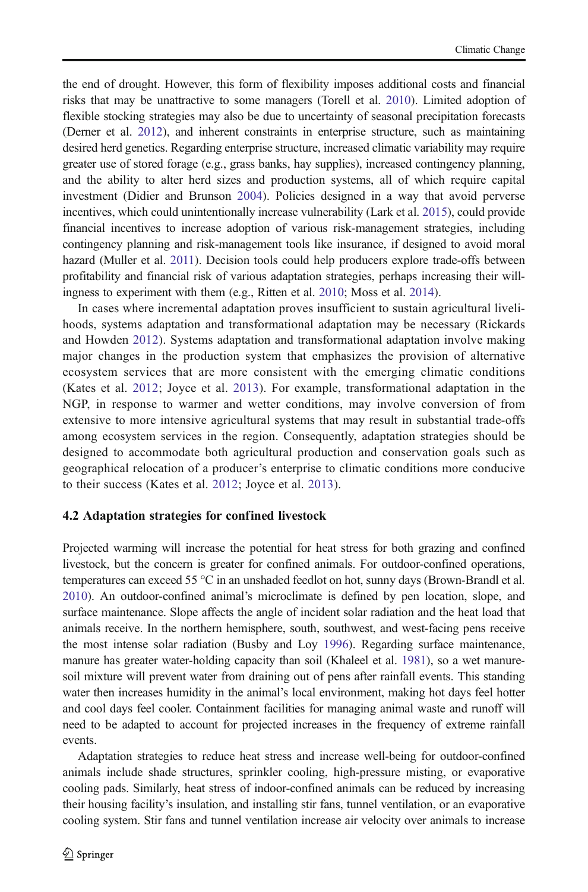the end of drought. However, this form of flexibility imposes additional costs and financial risks that may be unattractive to some managers (Torell et al. [2010](#page-13-0)). Limited adoption of flexible stocking strategies may also be due to uncertainty of seasonal precipitation forecasts (Derner et al. [2012\)](#page-11-0), and inherent constraints in enterprise structure, such as maintaining desired herd genetics. Regarding enterprise structure, increased climatic variability may require greater use of stored forage (e.g., grass banks, hay supplies), increased contingency planning, and the ability to alter herd sizes and production systems, all of which require capital investment (Didier and Brunson [2004](#page-11-0)). Policies designed in a way that avoid perverse incentives, which could unintentionally increase vulnerability (Lark et al. [2015](#page-12-0)), could provide financial incentives to increase adoption of various risk-management strategies, including contingency planning and risk-management tools like insurance, if designed to avoid moral hazard (Muller et al. [2011\)](#page-12-0). Decision tools could help producers explore trade-offs between profitability and financial risk of various adaptation strategies, perhaps increasing their willingness to experiment with them (e.g., Ritten et al. [2010](#page-13-0); Moss et al. [2014\)](#page-12-0).

In cases where incremental adaptation proves insufficient to sustain agricultural livelihoods, systems adaptation and transformational adaptation may be necessary (Rickards and Howden [2012\)](#page-13-0). Systems adaptation and transformational adaptation involve making major changes in the production system that emphasizes the provision of alternative ecosystem services that are more consistent with the emerging climatic conditions (Kates et al. [2012;](#page-12-0) Joyce et al. [2013\)](#page-12-0). For example, transformational adaptation in the NGP, in response to warmer and wetter conditions, may involve conversion of from extensive to more intensive agricultural systems that may result in substantial trade-offs among ecosystem services in the region. Consequently, adaptation strategies should be designed to accommodate both agricultural production and conservation goals such as geographical relocation of a producer's enterprise to climatic conditions more conducive to their success (Kates et al. [2012](#page-12-0); Joyce et al. [2013\)](#page-12-0).

# 4.2 Adaptation strategies for confined livestock

Projected warming will increase the potential for heat stress for both grazing and confined livestock, but the concern is greater for confined animals. For outdoor-confined operations, temperatures can exceed 55 °C in an unshaded feedlot on hot, sunny days (Brown-Brandl et al. [2010](#page-11-0)). An outdoor-confined animal's microclimate is defined by pen location, slope, and surface maintenance. Slope affects the angle of incident solar radiation and the heat load that animals receive. In the northern hemisphere, south, southwest, and west-facing pens receive the most intense solar radiation (Busby and Loy [1996\)](#page-11-0). Regarding surface maintenance, manure has greater water-holding capacity than soil (Khaleel et al. [1981\)](#page-12-0), so a wet manuresoil mixture will prevent water from draining out of pens after rainfall events. This standing water then increases humidity in the animal's local environment, making hot days feel hotter and cool days feel cooler. Containment facilities for managing animal waste and runoff will need to be adapted to account for projected increases in the frequency of extreme rainfall events.

Adaptation strategies to reduce heat stress and increase well-being for outdoor-confined animals include shade structures, sprinkler cooling, high-pressure misting, or evaporative cooling pads. Similarly, heat stress of indoor-confined animals can be reduced by increasing their housing facility's insulation, and installing stir fans, tunnel ventilation, or an evaporative cooling system. Stir fans and tunnel ventilation increase air velocity over animals to increase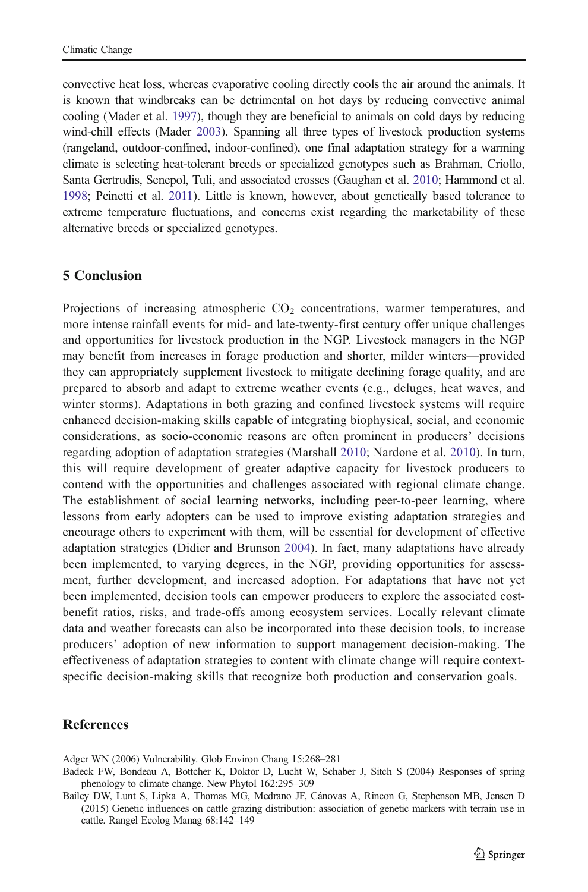<span id="page-10-0"></span>convective heat loss, whereas evaporative cooling directly cools the air around the animals. It is known that windbreaks can be detrimental on hot days by reducing convective animal cooling (Mader et al. [1997](#page-12-0)), though they are beneficial to animals on cold days by reducing wind-chill effects (Mader [2003](#page-12-0)). Spanning all three types of livestock production systems (rangeland, outdoor-confined, indoor-confined), one final adaptation strategy for a warming climate is selecting heat-tolerant breeds or specialized genotypes such as Brahman, Criollo, Santa Gertrudis, Senepol, Tuli, and associated crosses (Gaughan et al. [2010](#page-11-0); Hammond et al. [1998](#page-11-0); Peinetti et al. [2011](#page-12-0)). Little is known, however, about genetically based tolerance to extreme temperature fluctuations, and concerns exist regarding the marketability of these alternative breeds or specialized genotypes.

# 5 Conclusion

Projections of increasing atmospheric  $CO<sub>2</sub>$  concentrations, warmer temperatures, and more intense rainfall events for mid- and late-twenty-first century offer unique challenges and opportunities for livestock production in the NGP. Livestock managers in the NGP may benefit from increases in forage production and shorter, milder winters—provided they can appropriately supplement livestock to mitigate declining forage quality, and are prepared to absorb and adapt to extreme weather events (e.g., deluges, heat waves, and winter storms). Adaptations in both grazing and confined livestock systems will require enhanced decision-making skills capable of integrating biophysical, social, and economic considerations, as socio-economic reasons are often prominent in producers' decisions regarding adoption of adaptation strategies (Marshall [2010;](#page-12-0) Nardone et al. [2010\)](#page-12-0). In turn, this will require development of greater adaptive capacity for livestock producers to contend with the opportunities and challenges associated with regional climate change. The establishment of social learning networks, including peer-to-peer learning, where lessons from early adopters can be used to improve existing adaptation strategies and encourage others to experiment with them, will be essential for development of effective adaptation strategies (Didier and Brunson [2004](#page-11-0)). In fact, many adaptations have already been implemented, to varying degrees, in the NGP, providing opportunities for assessment, further development, and increased adoption. For adaptations that have not yet been implemented, decision tools can empower producers to explore the associated costbenefit ratios, risks, and trade-offs among ecosystem services. Locally relevant climate data and weather forecasts can also be incorporated into these decision tools, to increase producers' adoption of new information to support management decision-making. The effectiveness of adaptation strategies to content with climate change will require contextspecific decision-making skills that recognize both production and conservation goals.

# References

Adger WN (2006) Vulnerability. Glob Environ Chang 15:268–281

Badeck FW, Bondeau A, Bottcher K, Doktor D, Lucht W, Schaber J, Sitch S (2004) Responses of spring phenology to climate change. New Phytol 162:295–309

Bailey DW, Lunt S, Lipka A, Thomas MG, Medrano JF, Cánovas A, Rincon G, Stephenson MB, Jensen D (2015) Genetic influences on cattle grazing distribution: association of genetic markers with terrain use in cattle. Rangel Ecolog Manag 68:142–149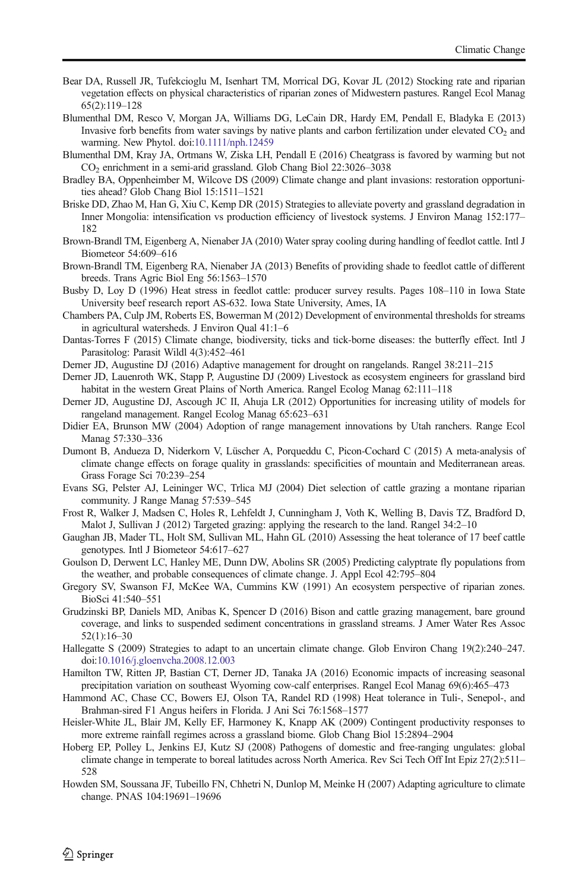- <span id="page-11-0"></span>Bear DA, Russell JR, Tufekcioglu M, Isenhart TM, Morrical DG, Kovar JL (2012) Stocking rate and riparian vegetation effects on physical characteristics of riparian zones of Midwestern pastures. Rangel Ecol Manag 65(2):119–128
- Blumenthal DM, Resco V, Morgan JA, Williams DG, LeCain DR, Hardy EM, Pendall E, Bladyka E (2013) Invasive forb benefits from water savings by native plants and carbon fertilization under elevated  $CO<sub>2</sub>$  and warming. New Phytol. doi[:10.1111/nph.12459](http://dx.doi.org/10.1111/nph.12459)
- Blumenthal DM, Kray JA, Ortmans W, Ziska LH, Pendall E (2016) Cheatgrass is favored by warming but not CO2 enrichment in a semi-arid grassland. Glob Chang Biol 22:3026–3038
- Bradley BA, Oppenheimber M, Wilcove DS (2009) Climate change and plant invasions: restoration opportunities ahead? Glob Chang Biol 15:1511–1521
- Briske DD, Zhao M, Han G, Xiu C, Kemp DR (2015) Strategies to alleviate poverty and grassland degradation in Inner Mongolia: intensification vs production efficiency of livestock systems. J Environ Manag 152:177– 182
- Brown-Brandl TM, Eigenberg A, Nienaber JA (2010) Water spray cooling during handling of feedlot cattle. Intl J Biometeor 54:609–616
- Brown-Brandl TM, Eigenberg RA, Nienaber JA (2013) Benefits of providing shade to feedlot cattle of different breeds. Trans Agric Biol Eng 56:1563–1570
- Busby D, Loy D (1996) Heat stress in feedlot cattle: producer survey results. Pages 108–110 in Iowa State University beef research report AS-632. Iowa State University, Ames, IA
- Chambers PA, Culp JM, Roberts ES, Bowerman M (2012) Development of environmental thresholds for streams in agricultural watersheds. J Environ Qual 41:1–6
- Dantas-Torres F (2015) Climate change, biodiversity, ticks and tick-borne diseases: the butterfly effect. Intl J Parasitolog: Parasit Wildl 4(3):452–461
- Derner JD, Augustine DJ (2016) Adaptive management for drought on rangelands. Rangel 38:211–215
- Derner JD, Lauenroth WK, Stapp P, Augustine DJ (2009) Livestock as ecosystem engineers for grassland bird habitat in the western Great Plains of North America. Rangel Ecolog Manag 62:111–118
- Derner JD, Augustine DJ, Ascough JC II, Ahuja LR (2012) Opportunities for increasing utility of models for rangeland management. Rangel Ecolog Manag 65:623–631
- Didier EA, Brunson MW (2004) Adoption of range management innovations by Utah ranchers. Range Ecol Manag 57:330–336
- Dumont B, Andueza D, Niderkorn V, Lüscher A, Porqueddu C, Picon-Cochard C (2015) A meta-analysis of climate change effects on forage quality in grasslands: specificities of mountain and Mediterranean areas. Grass Forage Sci 70:239–254
- Evans SG, Pelster AJ, Leininger WC, Trlica MJ (2004) Diet selection of cattle grazing a montane riparian community. J Range Manag 57:539–545
- Frost R, Walker J, Madsen C, Holes R, Lehfeldt J, Cunningham J, Voth K, Welling B, Davis TZ, Bradford D, Malot J, Sullivan J (2012) Targeted grazing: applying the research to the land. Rangel 34:2–10
- Gaughan JB, Mader TL, Holt SM, Sullivan ML, Hahn GL (2010) Assessing the heat tolerance of 17 beef cattle genotypes. Intl J Biometeor 54:617–627
- Goulson D, Derwent LC, Hanley ME, Dunn DW, Abolins SR (2005) Predicting calyptrate fly populations from the weather, and probable consequences of climate change. J. Appl Ecol 42:795–804
- Gregory SV, Swanson FJ, McKee WA, Cummins KW (1991) An ecosystem perspective of riparian zones. BioSci 41:540–551
- Grudzinski BP, Daniels MD, Anibas K, Spencer D (2016) Bison and cattle grazing management, bare ground coverage, and links to suspended sediment concentrations in grassland streams. J Amer Water Res Assoc 52(1):16–30
- Hallegatte S (2009) Strategies to adapt to an uncertain climate change. Glob Environ Chang 19(2):240–247. doi:[10.1016/j.gloenvcha.2008.12.003](http://dx.doi.org/10.1016/j.gloenvcha.2008.12.003)
- Hamilton TW, Ritten JP, Bastian CT, Derner JD, Tanaka JA (2016) Economic impacts of increasing seasonal precipitation variation on southeast Wyoming cow-calf enterprises. Rangel Ecol Manag 69(6):465–473
- Hammond AC, Chase CC, Bowers EJ, Olson TA, Randel RD (1998) Heat tolerance in Tuli-, Senepol-, and Brahman-sired F1 Angus heifers in Florida. J Ani Sci 76:1568–1577
- Heisler-White JL, Blair JM, Kelly EF, Harmoney K, Knapp AK (2009) Contingent productivity responses to more extreme rainfall regimes across a grassland biome. Glob Chang Biol 15:2894–2904
- Hoberg EP, Polley L, Jenkins EJ, Kutz SJ (2008) Pathogens of domestic and free-ranging ungulates: global climate change in temperate to boreal latitudes across North America. Rev Sci Tech Off Int Epiz 27(2):511– 528
- Howden SM, Soussana JF, Tubeillo FN, Chhetri N, Dunlop M, Meinke H (2007) Adapting agriculture to climate change. PNAS 104:19691–19696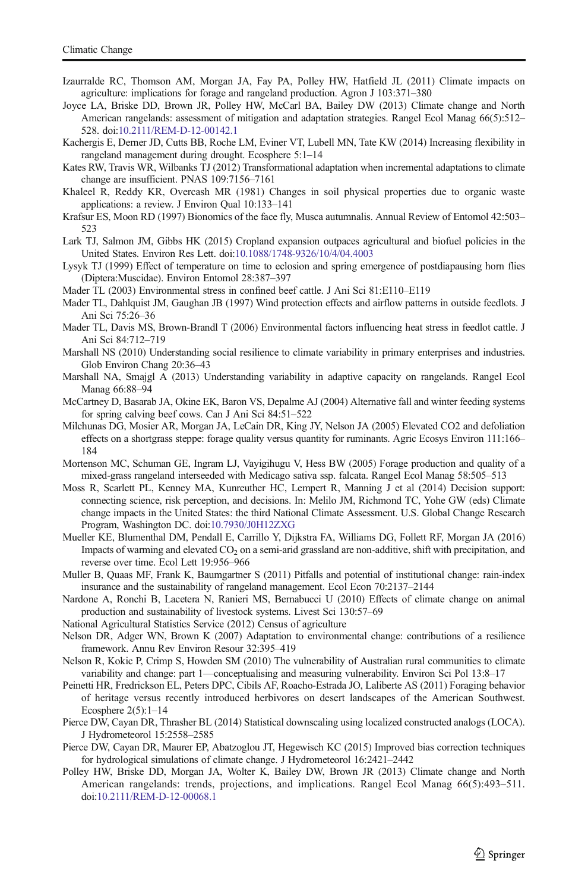- <span id="page-12-0"></span>Izaurralde RC, Thomson AM, Morgan JA, Fay PA, Polley HW, Hatfield JL (2011) Climate impacts on agriculture: implications for forage and rangeland production. Agron J 103:371–380
- Joyce LA, Briske DD, Brown JR, Polley HW, McCarl BA, Bailey DW (2013) Climate change and North American rangelands: assessment of mitigation and adaptation strategies. Rangel Ecol Manag 66(5):512– 528. doi[:10.2111/REM-D-12-00142.1](http://dx.doi.org/10.2111/REM-D-12-00142.1)
- Kachergis E, Derner JD, Cutts BB, Roche LM, Eviner VT, Lubell MN, Tate KW (2014) Increasing flexibility in rangeland management during drought. Ecosphere 5:1–14
- Kates RW, Travis WR, Wilbanks TJ (2012) Transformational adaptation when incremental adaptations to climate change are insufficient. PNAS 109:7156–7161
- Khaleel R, Reddy KR, Overcash MR (1981) Changes in soil physical properties due to organic waste applications: a review. J Environ Qual 10:133–141
- Krafsur ES, Moon RD (1997) Bionomics of the face fly, Musca autumnalis. Annual Review of Entomol 42:503– 523
- Lark TJ, Salmon JM, Gibbs HK (2015) Cropland expansion outpaces agricultural and biofuel policies in the United States. Environ Res Lett. doi:[10.1088/1748-9326/10/4/04.4003](http://dx.doi.org/10.1088/1748-9326/10/4/04.4003)
- Lysyk TJ (1999) Effect of temperature on time to eclosion and spring emergence of postdiapausing horn flies (Diptera:Muscidae). Environ Entomol 28:387–397
- Mader TL (2003) Environmental stress in confined beef cattle. J Ani Sci 81:E110–E119
- Mader TL, Dahlquist JM, Gaughan JB (1997) Wind protection effects and airflow patterns in outside feedlots. J Ani Sci 75:26–36
- Mader TL, Davis MS, Brown-Brandl T (2006) Environmental factors influencing heat stress in feedlot cattle. J Ani Sci 84:712–719
- Marshall NS (2010) Understanding social resilience to climate variability in primary enterprises and industries. Glob Environ Chang 20:36–43
- Marshall NA, Smajgl A (2013) Understanding variability in adaptive capacity on rangelands. Rangel Ecol Manag 66:88–94
- McCartney D, Basarab JA, Okine EK, Baron VS, Depalme AJ (2004) Alternative fall and winter feeding systems for spring calving beef cows. Can J Ani Sci 84:51–522
- Milchunas DG, Mosier AR, Morgan JA, LeCain DR, King JY, Nelson JA (2005) Elevated CO2 and defoliation effects on a shortgrass steppe: forage quality versus quantity for ruminants. Agric Ecosys Environ 111:166– 184
- Mortenson MC, Schuman GE, Ingram LJ, Vayigihugu V, Hess BW (2005) Forage production and quality of a mixed-grass rangeland interseeded with Medicago sativa ssp. falcata. Rangel Ecol Manag 58:505–513
- Moss R, Scarlett PL, Kenney MA, Kunreuther HC, Lempert R, Manning J et al (2014) Decision support: connecting science, risk perception, and decisions. In: Melilo JM, Richmond TC, Yohe GW (eds) Climate change impacts in the United States: the third National Climate Assessment. U.S. Global Change Research Program, Washington DC. doi[:10.7930/J0H12ZXG](http://dx.doi.org/10.7930/J0H12ZXG)
- Mueller KE, Blumenthal DM, Pendall E, Carrillo Y, Dijkstra FA, Williams DG, Follett RF, Morgan JA (2016) Impacts of warming and elevated  $CO<sub>2</sub>$  on a semi-arid grassland are non-additive, shift with precipitation, and reverse over time. Ecol Lett 19:956–966
- Muller B, Quaas MF, Frank K, Baumgartner S (2011) Pitfalls and potential of institutional change: rain-index insurance and the sustainability of rangeland management. Ecol Econ 70:2137–2144
- Nardone A, Ronchi B, Lacetera N, Ranieri MS, Bernabucci U (2010) Effects of climate change on animal production and sustainability of livestock systems. Livest Sci 130:57–69
- National Agricultural Statistics Service (2012) Census of agriculture
- Nelson DR, Adger WN, Brown K (2007) Adaptation to environmental change: contributions of a resilience framework. Annu Rev Environ Resour 32:395–419
- Nelson R, Kokic P, Crimp S, Howden SM (2010) The vulnerability of Australian rural communities to climate variability and change: part 1—conceptualising and measuring vulnerability. Environ Sci Pol 13:8–17
- Peinetti HR, Fredrickson EL, Peters DPC, Cibils AF, Roacho-Estrada JO, Laliberte AS (2011) Foraging behavior of heritage versus recently introduced herbivores on desert landscapes of the American Southwest. Ecosphere 2(5):1–14
- Pierce DW, Cayan DR, Thrasher BL (2014) Statistical downscaling using localized constructed analogs (LOCA). J Hydrometeorol 15:2558–2585
- Pierce DW, Cayan DR, Maurer EP, Abatzoglou JT, Hegewisch KC (2015) Improved bias correction techniques for hydrological simulations of climate change. J Hydrometeorol 16:2421–2442
- Polley HW, Briske DD, Morgan JA, Wolter K, Bailey DW, Brown JR (2013) Climate change and North American rangelands: trends, projections, and implications. Rangel Ecol Manag 66(5):493–511. doi:[10.2111/REM-D-12-00068.1](http://dx.doi.org/10.2111/REM-D-12-00068.1)